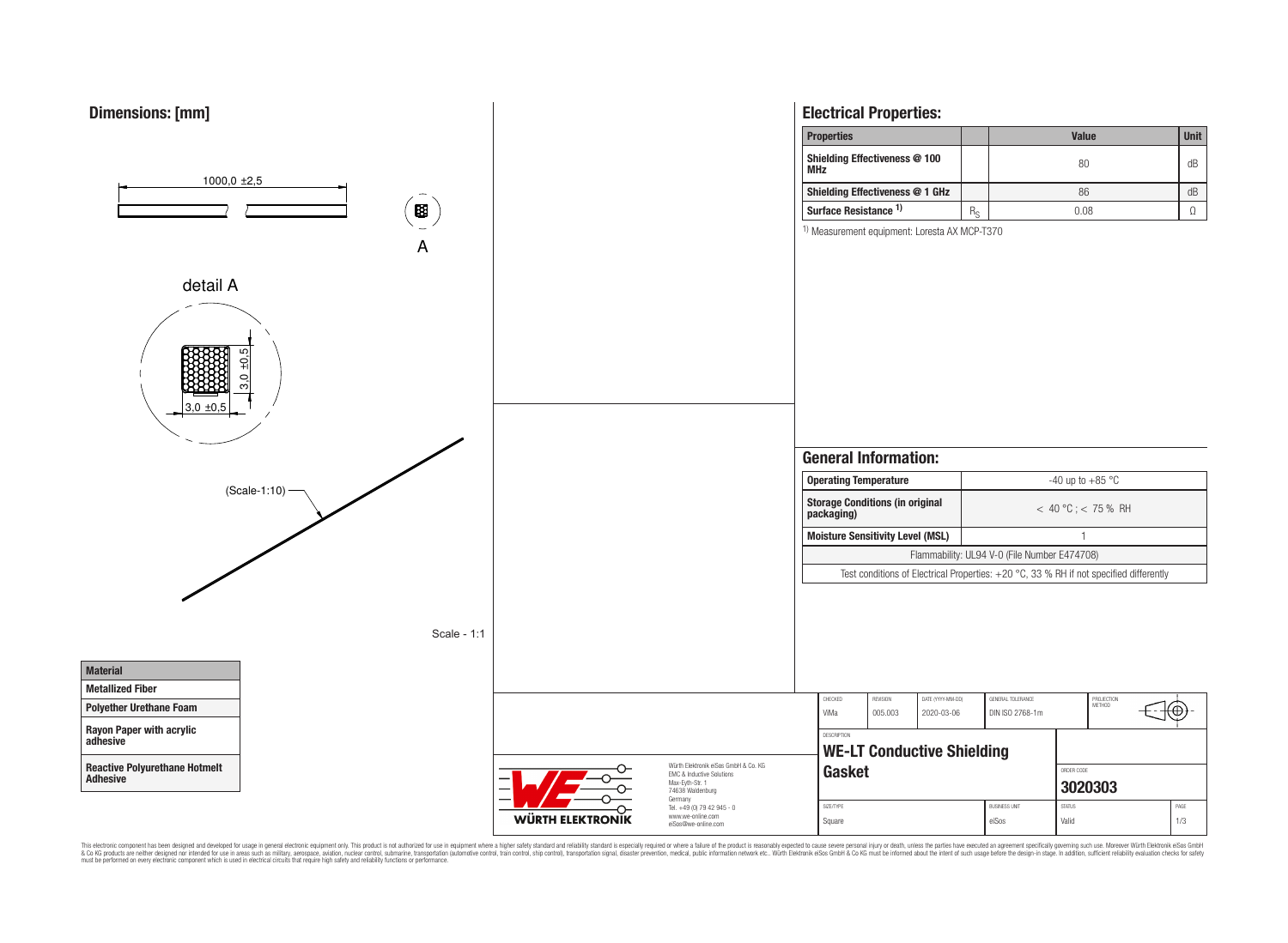

This electronic component has been designed and developed for usage in general electronic equipment only. This product is not authorized for use in equipment where a higher safely standard and reliability standard si espec & Ook product a label and the membed of the seasuch as marked and as which such a membed and the such assume that income in the seasuch and the simulation and the such assume that include to the such a membed and the such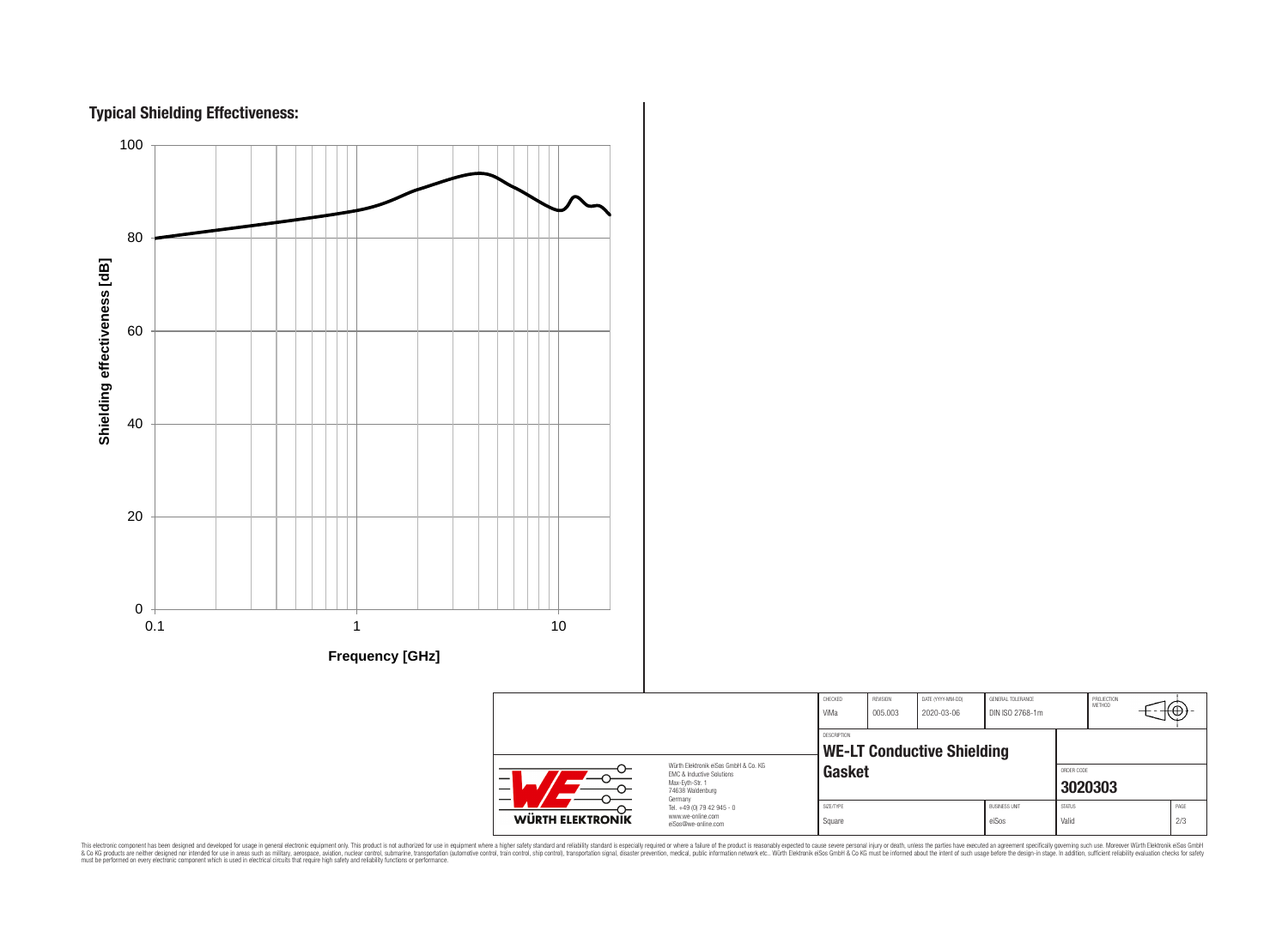



|                                                                              |                                                                                                                          | CHECKED<br>ViMa                   | REVISION<br>005.003                                        | DATE (YYYY-MM-DD)<br>2020-03-06 | GENERAL TOLERANCE<br>DIN ISO 2768-1m |                                  | PROJECTION<br><b>METHOD</b> |  | €Θ  |  |
|------------------------------------------------------------------------------|--------------------------------------------------------------------------------------------------------------------------|-----------------------------------|------------------------------------------------------------|---------------------------------|--------------------------------------|----------------------------------|-----------------------------|--|-----|--|
| Würth Elektronik eiSos GmbH & Co. KG<br><b>EMC &amp; Inductive Solutions</b> |                                                                                                                          |                                   | DESCRIPTION<br><b>WE-LT Conductive Shielding</b><br>Gasket |                                 |                                      |                                  | ORDER CODE                  |  |     |  |
| -<br><b>WÜRTH ELEKTRONIK</b>                                                 | Max-Evth-Str. 1<br>74638 Waldenburg<br>Germany<br>Tel. +49 (0) 79 42 945 - 0<br>www.we-online.com<br>eiSos@we-online.com | <b>BUSINESS UNIT</b><br>SIZE/TYPE |                                                            |                                 |                                      | 3020303<br>PAGE<br><b>STATUS</b> |                             |  |     |  |
|                                                                              |                                                                                                                          | Square                            |                                                            |                                 | eiSos                                | Valid                            |                             |  | 2/3 |  |

This electronic component has been designed and developed for usage in general electronic equipment only. This product is not authorized for subserved requipment where a higher selection equipment where a higher selection